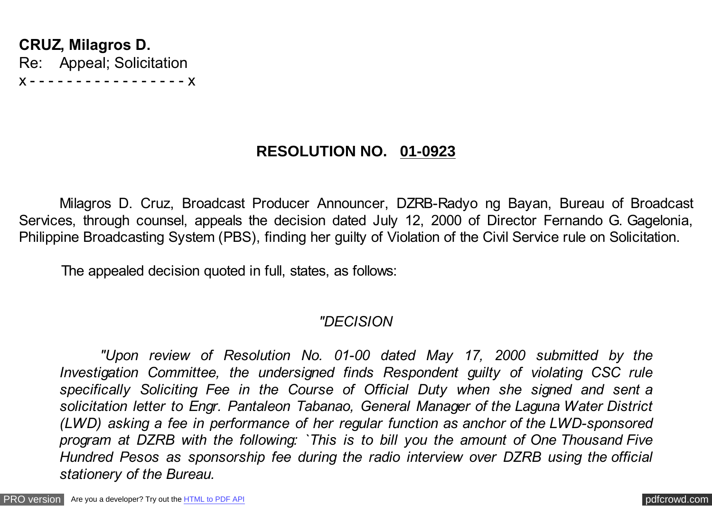**CRUZ, Milagros D.** Re: Appeal; Solicitation x - - - - - - - - - - - - - - - - - x

# **RESOLUTION NO. 01-0923**

Milagros D. Cruz, Broadcast Producer Announcer, DZRB-Radyo ng Bayan, Bureau of Broadcast Services, through counsel, appeals the decision dated July 12, 2000 of Director Fernando G. Gagelonia, Philippine Broadcasting System (PBS), finding her guilty of Violation of the Civil Service rule on Solicitation.

The appealed decision quoted in full, states, as follows:

# *"DECISION*

*"Upon review of Resolution No. 01-00 dated May 17, 2000 submitted by the Investigation Committee, the undersigned finds Respondent guilty of violating CSC rule specifically Soliciting Fee in the Course of Official Duty when she signed and sent a solicitation letter to Engr. Pantaleon Tabanao, General Manager of the Laguna Water District (LWD) asking a fee in performance of her regular function as anchor of the LWD-sponsored program at DZRB with the following: `This is to bill you the amount of One Thousand Five Hundred Pesos as sponsorship fee during the radio interview over DZRB using the official stationery of the Bureau.*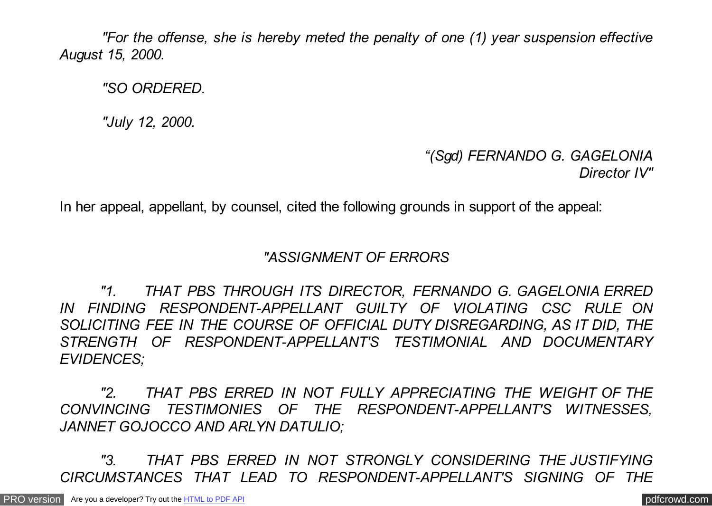*"For the offense, she is hereby meted the penalty of one (1) year suspension effective August 15, 2000.*

 *"SO ORDERED.*

 *"July 12, 2000.*

# *"(Sgd) FERNANDO G. GAGELONIA Director IV"*

In her appeal, appellant, by counsel, cited the following grounds in support of the appeal:

## *"ASSIGNMENT OF ERRORS*

*"1. THAT PBS THROUGH ITS DIRECTOR, FERNANDO G. GAGELONIA ERRED IN FINDING RESPONDENT-APPELLANT GUILTY OF VIOLATING CSC RULE ON SOLICITING FEE IN THE COURSE OF OFFICIAL DUTY DISREGARDING, AS IT DID, THE STRENGTH OF RESPONDENT-APPELLANT'S TESTIMONIAL AND DOCUMENTARY EVIDENCES;*

*"2. THAT PBS ERRED IN NOT FULLY APPRECIATING THE WEIGHT OF THE CONVINCING TESTIMONIES OF THE RESPONDENT-APPELLANT'S WITNESSES, JANNET GOJOCCO AND ARLYN DATULIO;*

*"3. THAT PBS ERRED IN NOT STRONGLY CONSIDERING THE JUSTIFYING CIRCUMSTANCES THAT LEAD TO RESPONDENT-APPELLANT'S SIGNING OF THE*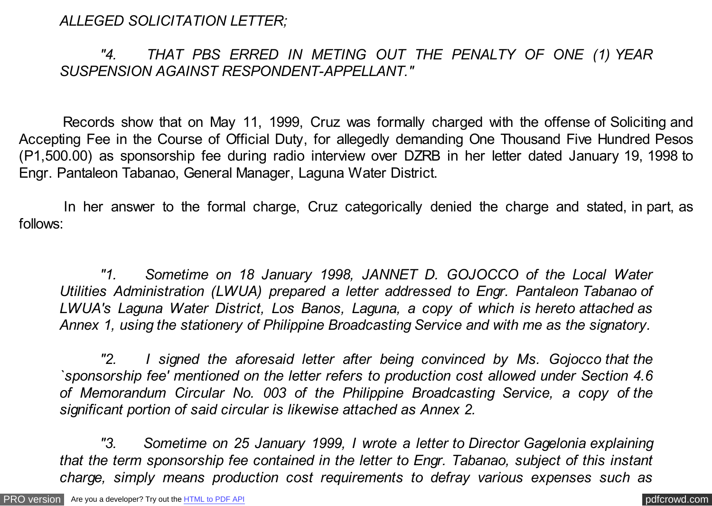*ALLEGED SOLICITATION LETTER;*

*"4. THAT PBS ERRED IN METING OUT THE PENALTY OF ONE (1) YEAR SUSPENSION AGAINST RESPONDENT-APPELLANT."*

 Records show that on May 11, 1999, Cruz was formally charged with the offense of Soliciting and Accepting Fee in the Course of Official Duty, for allegedly demanding One Thousand Five Hundred Pesos (P1,500.00) as sponsorship fee during radio interview over DZRB in her letter dated January 19, 1998 to Engr. Pantaleon Tabanao, General Manager, Laguna Water District.

 In her answer to the formal charge, Cruz categorically denied the charge and stated, in part, as follows:

*"1. Sometime on 18 January 1998, JANNET D. GOJOCCO of the Local Water Utilities Administration (LWUA) prepared a letter addressed to Engr. Pantaleon Tabanao of LWUA's Laguna Water District, Los Banos, Laguna, a copy of which is hereto attached as Annex 1, using the stationery of Philippine Broadcasting Service and with me as the signatory.*

*"2. I signed the aforesaid letter after being convinced by Ms. Gojocco that the `sponsorship fee' mentioned on the letter refers to production cost allowed under Section 4.6 of Memorandum Circular No. 003 of the Philippine Broadcasting Service, a copy of the significant portion of said circular is likewise attached as Annex 2.*

*"3. Sometime on 25 January 1999, I wrote a letter to Director Gagelonia explaining that the term sponsorship fee contained in the letter to Engr. Tabanao, subject of this instant charge, simply means production cost requirements to defray various expenses such as*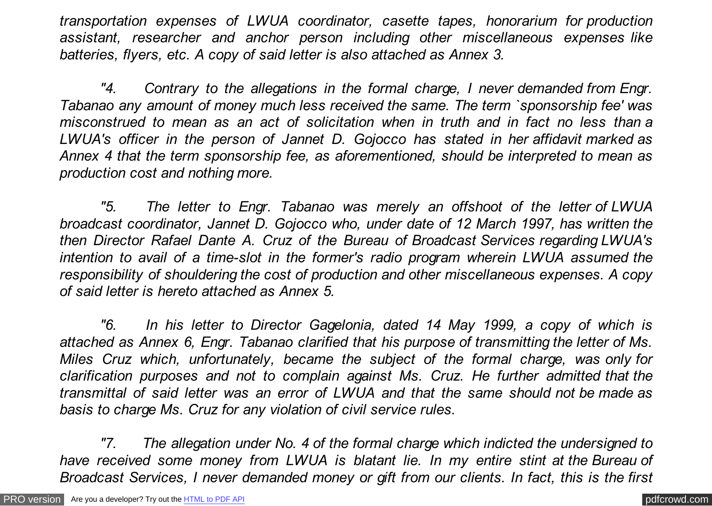*transportation expenses of LWUA coordinator, casette tapes, honorarium for production assistant, researcher and anchor person including other miscellaneous expenses like batteries, flyers, etc. A copy of said letter is also attached as Annex 3.*

*"4. Contrary to the allegations in the formal charge, I never demanded from Engr. Tabanao any amount of money much less received the same. The term `sponsorship fee' was misconstrued to mean as an act of solicitation when in truth and in fact no less than a LWUA's officer in the person of Jannet D. Gojocco has stated in her affidavit marked as Annex 4 that the term sponsorship fee, as aforementioned, should be interpreted to mean as production cost and nothing more.*

*"5. The letter to Engr. Tabanao was merely an offshoot of the letter of LWUA broadcast coordinator, Jannet D. Gojocco who, under date of 12 March 1997, has written the then Director Rafael Dante A. Cruz of the Bureau of Broadcast Services regarding LWUA's intention to avail of a time-slot in the former's radio program wherein LWUA assumed the responsibility of shouldering the cost of production and other miscellaneous expenses. A copy of said letter is hereto attached as Annex 5.*

*"6. In his letter to Director Gagelonia, dated 14 May 1999, a copy of which is attached as Annex 6, Engr. Tabanao clarified that his purpose of transmitting the letter of Ms. Miles Cruz which, unfortunately, became the subject of the formal charge, was only for clarification purposes and not to complain against Ms. Cruz. He further admitted that the transmittal of said letter was an error of LWUA and that the same should not be made as basis to charge Ms. Cruz for any violation of civil service rules.*

*"7. The allegation under No. 4 of the formal charge which indicted the undersigned to have received some money from LWUA is blatant lie. In my entire stint at the Bureau of Broadcast Services, I never demanded money or gift from our clients. In fact, this is the first*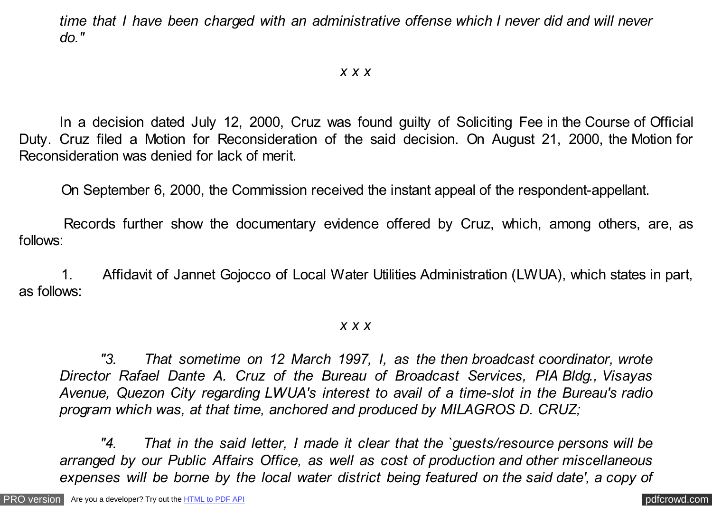*time that I have been charged with an administrative offense which I never did and will never do."*

### *x x x*

In a decision dated July 12, 2000, Cruz was found guilty of Soliciting Fee in the Course of Official Duty. Cruz filed a Motion for Reconsideration of the said decision. On August 21, 2000, the Motion for Reconsideration was denied for lack of merit.

On September 6, 2000, the Commission received the instant appeal of the respondent-appellant.

 Records further show the documentary evidence offered by Cruz, which, among others, are, as follows:

 1. Affidavit of Jannet Gojocco of Local Water Utilities Administration (LWUA), which states in part, as follows:

#### *x x x*

*"3. That sometime on 12 March 1997, I, as the then broadcast coordinator, wrote Director Rafael Dante A. Cruz of the Bureau of Broadcast Services, PIA Bldg., Visayas Avenue, Quezon City regarding LWUA's interest to avail of a time-slot in the Bureau's radio program which was, at that time, anchored and produced by MILAGROS D. CRUZ;*

*"4. That in the said letter, I made it clear that the `guests/resource persons will be arranged by our Public Affairs Office, as well as cost of production and other miscellaneous expenses will be borne by the local water district being featured on the said date', a copy of*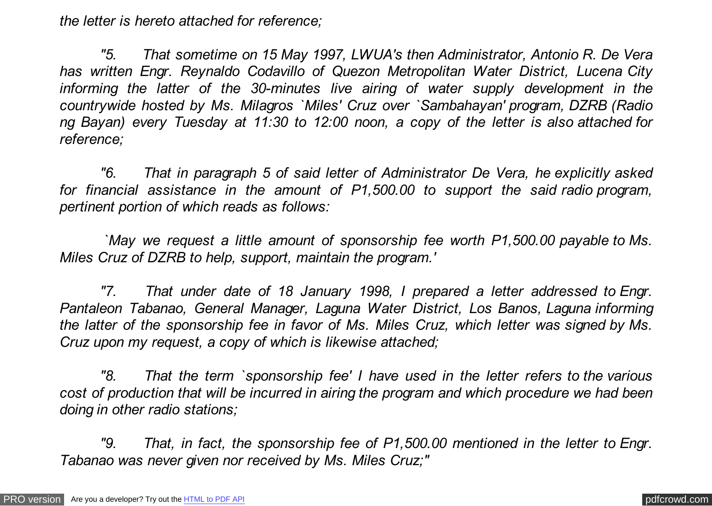*the letter is hereto attached for reference;*

*"5. That sometime on 15 May 1997, LWUA's then Administrator, Antonio R. De Vera has written Engr. Reynaldo Codavillo of Quezon Metropolitan Water District, Lucena City informing the latter of the 30-minutes live airing of water supply development in the countrywide hosted by Ms. Milagros `Miles' Cruz over `Sambahayan' program, DZRB (Radio ng Bayan) every Tuesday at 11:30 to 12:00 noon, a copy of the letter is also attached for reference;*

*"6. That in paragraph 5 of said letter of Administrator De Vera, he explicitly asked for financial assistance in the amount of P1,500.00 to support the said radio program, pertinent portion of which reads as follows:*

 *`May we request a little amount of sponsorship fee worth P1,500.00 payable to Ms. Miles Cruz of DZRB to help, support, maintain the program.'*

*"7. That under date of 18 January 1998, I prepared a letter addressed to Engr. Pantaleon Tabanao, General Manager, Laguna Water District, Los Banos, Laguna informing the latter of the sponsorship fee in favor of Ms. Miles Cruz, which letter was signed by Ms. Cruz upon my request, a copy of which is likewise attached;*

*"8. That the term `sponsorship fee' I have used in the letter refers to the various cost of production that will be incurred in airing the program and which procedure we had been doing in other radio stations;*

*"9. That, in fact, the sponsorship fee of P1,500.00 mentioned in the letter to Engr. Tabanao was never given nor received by Ms. Miles Cruz;"*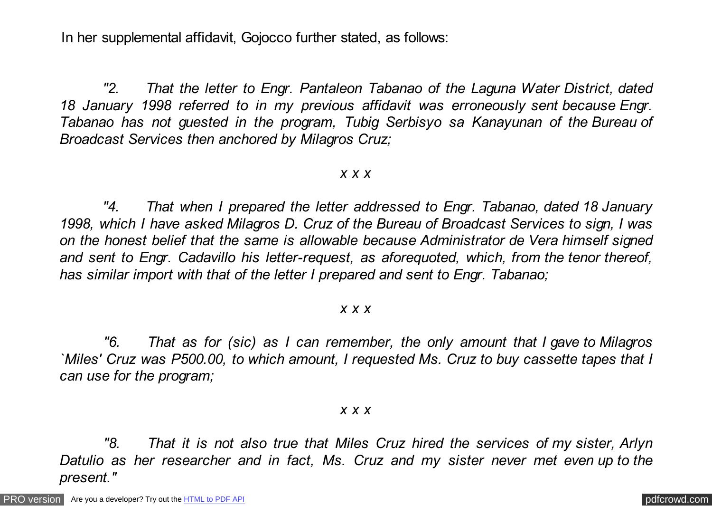In her supplemental affidavit, Gojocco further stated, as follows:

 *"2. That the letter to Engr. Pantaleon Tabanao of the Laguna Water District, dated 18 January 1998 referred to in my previous affidavit was erroneously sent because Engr. Tabanao has not guested in the program, Tubig Serbisyo sa Kanayunan of the Bureau of Broadcast Services then anchored by Milagros Cruz;*

#### *x x x*

 *"4. That when I prepared the letter addressed to Engr. Tabanao, dated 18 January 1998, which I have asked Milagros D. Cruz of the Bureau of Broadcast Services to sign, I was on the honest belief that the same is allowable because Administrator de Vera himself signed and sent to Engr. Cadavillo his letter-request, as aforequoted, which, from the tenor thereof, has similar import with that of the letter I prepared and sent to Engr. Tabanao;*

#### *x x x*

 *"6. That as for (sic) as I can remember, the only amount that I gave to Milagros `Miles' Cruz was P500.00, to which amount, I requested Ms. Cruz to buy cassette tapes that I can use for the program;*

#### *x x x*

 *"8. That it is not also true that Miles Cruz hired the services of my sister, Arlyn Datulio as her researcher and in fact, Ms. Cruz and my sister never met even up to the present."*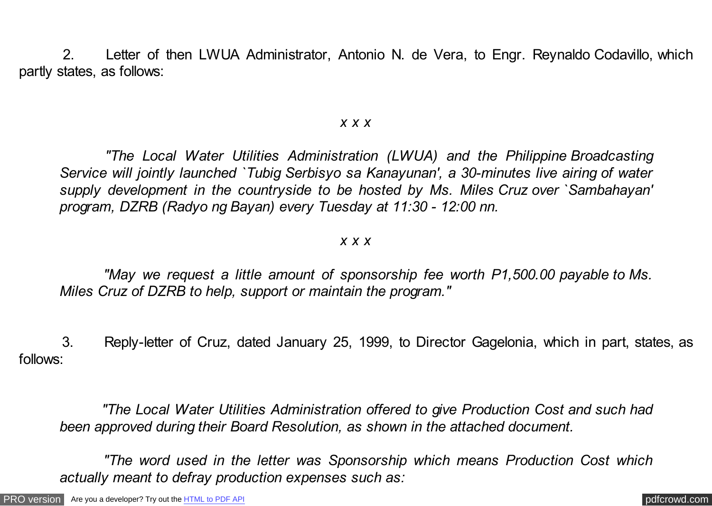2. Letter of then LWUA Administrator, Antonio N. de Vera, to Engr. Reynaldo Codavillo, which partly states, as follows:

### *x x x*

 *"The Local Water Utilities Administration (LWUA) and the Philippine Broadcasting Service will jointly launched `Tubig Serbisyo sa Kanayunan', a 30-minutes live airing of water supply development in the countryside to be hosted by Ms. Miles Cruz over `Sambahayan' program, DZRB (Radyo ng Bayan) every Tuesday at 11:30 - 12:00 nn.*

### *x x x*

 *"May we request a little amount of sponsorship fee worth P1,500.00 payable to Ms. Miles Cruz of DZRB to help, support or maintain the program."*

 3. Reply-letter of Cruz, dated January 25, 1999, to Director Gagelonia, which in part, states, as follows:

 *"The Local Water Utilities Administration offered to give Production Cost and such had been approved during their Board Resolution, as shown in the attached document.*

 *"The word used in the letter was Sponsorship which means Production Cost which actually meant to defray production expenses such as:*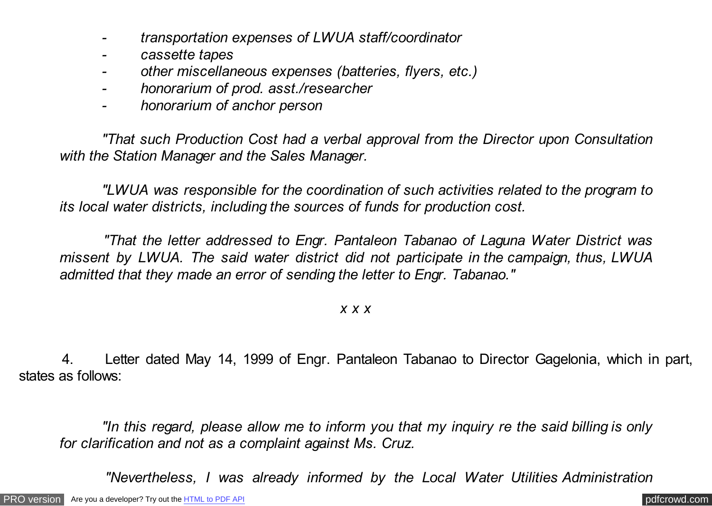- *transportation expenses of LWUA staff/coordinator*
- *cassette tapes*
- *other miscellaneous expenses (batteries, flyers, etc.)*
- *honorarium of prod. asst./researcher*
- *honorarium of anchor person*

 *"That such Production Cost had a verbal approval from the Director upon Consultation with the Station Manager and the Sales Manager.*

 *"LWUA was responsible for the coordination of such activities related to the program to its local water districts, including the sources of funds for production cost.*

 *"That the letter addressed to Engr. Pantaleon Tabanao of Laguna Water District was missent by LWUA. The said water district did not participate in the campaign, thus, LWUA admitted that they made an error of sending the letter to Engr. Tabanao."*

### *x x x*

 4. Letter dated May 14, 1999 of Engr. Pantaleon Tabanao to Director Gagelonia, which in part, states as follows:

 *"In this regard, please allow me to inform you that my inquiry re the said billing is only for clarification and not as a complaint against Ms. Cruz.*

 *"Nevertheless, I was already informed by the Local Water Utilities Administration*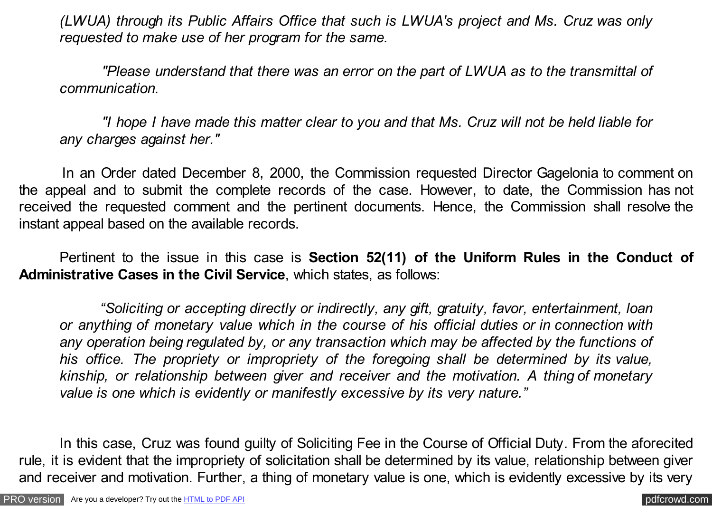*(LWUA) through its Public Affairs Office that such is LWUA's project and Ms. Cruz was only requested to make use of her program for the same.*

 *"Please understand that there was an error on the part of LWUA as to the transmittal of communication.*

 *"I hope I have made this matter clear to you and that Ms. Cruz will not be held liable for any charges against her."*

 In an Order dated December 8, 2000, the Commission requested Director Gagelonia to comment on the appeal and to submit the complete records of the case. However, to date, the Commission has not received the requested comment and the pertinent documents. Hence, the Commission shall resolve the instant appeal based on the available records.

Pertinent to the issue in this case is **Section 52(11) of the Uniform Rules in the Conduct of Administrative Cases in the Civil Service**, which states, as follows:

*"Soliciting or accepting directly or indirectly, any gift, gratuity, favor, entertainment, loan or anything of monetary value which in the course of his official duties or in connection with any operation being regulated by, or any transaction which may be affected by the functions of his office. The propriety or impropriety of the foregoing shall be determined by its value, kinship, or relationship between giver and receiver and the motivation. A thing of monetary value is one which is evidently or manifestly excessive by its very nature."*

In this case, Cruz was found guilty of Soliciting Fee in the Course of Official Duty. From the aforecited rule, it is evident that the impropriety of solicitation shall be determined by its value, relationship between giver and receiver and motivation. Further, a thing of monetary value is one, which is evidently excessive by its very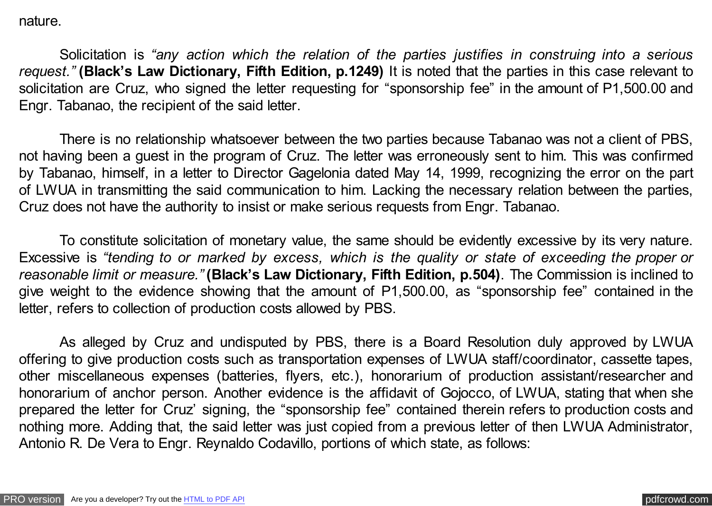nature.

Solicitation is *"any action which the relation of the parties justifies in construing into a serious request."* **(Black's Law Dictionary, Fifth Edition, p.1249)** It is noted that the parties in this case relevant to solicitation are Cruz, who signed the letter requesting for "sponsorship fee" in the amount of P1,500.00 and Engr. Tabanao, the recipient of the said letter.

There is no relationship whatsoever between the two parties because Tabanao was not a client of PBS, not having been a guest in the program of Cruz. The letter was erroneously sent to him. This was confirmed by Tabanao, himself, in a letter to Director Gagelonia dated May 14, 1999, recognizing the error on the part of LWUA in transmitting the said communication to him. Lacking the necessary relation between the parties, Cruz does not have the authority to insist or make serious requests from Engr. Tabanao.

To constitute solicitation of monetary value, the same should be evidently excessive by its very nature. Excessive is *"tending to or marked by excess, which is the quality or state of exceeding the proper or reasonable limit or measure."* **(Black's Law Dictionary, Fifth Edition, p.504)**. The Commission is inclined to give weight to the evidence showing that the amount of P1,500.00, as "sponsorship fee" contained in the letter, refers to collection of production costs allowed by PBS.

As alleged by Cruz and undisputed by PBS, there is a Board Resolution duly approved by LWUA offering to give production costs such as transportation expenses of LWUA staff/coordinator, cassette tapes, other miscellaneous expenses (batteries, flyers, etc.), honorarium of production assistant/researcher and honorarium of anchor person. Another evidence is the affidavit of Gojocco, of LWUA, stating that when she prepared the letter for Cruz' signing, the "sponsorship fee" contained therein refers to production costs and nothing more. Adding that, the said letter was just copied from a previous letter of then LWUA Administrator, Antonio R. De Vera to Engr. Reynaldo Codavillo, portions of which state, as follows: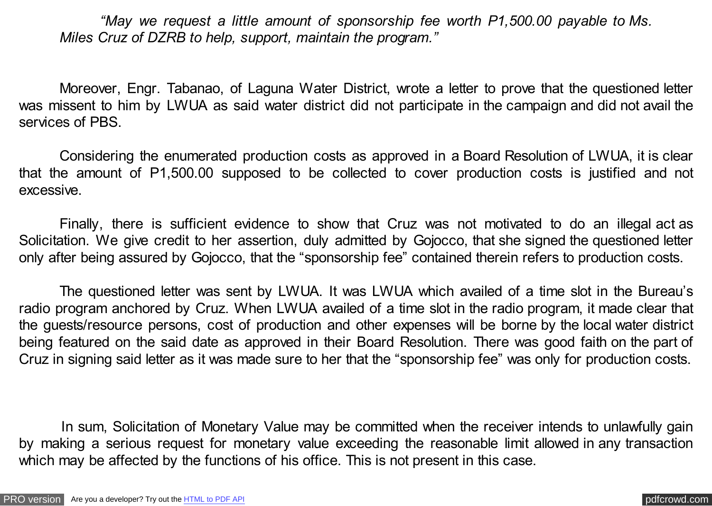*"May we request a little amount of sponsorship fee worth P1,500.00 payable to Ms. Miles Cruz of DZRB to help, support, maintain the program."*

Moreover, Engr. Tabanao, of Laguna Water District, wrote a letter to prove that the questioned letter was missent to him by LWUA as said water district did not participate in the campaign and did not avail the services of PBS.

Considering the enumerated production costs as approved in a Board Resolution of LWUA, it is clear that the amount of P1,500.00 supposed to be collected to cover production costs is justified and not excessive.

Finally, there is sufficient evidence to show that Cruz was not motivated to do an illegal act as Solicitation. We give credit to her assertion, duly admitted by Gojocco, that she signed the questioned letter only after being assured by Gojocco, that the "sponsorship fee" contained therein refers to production costs.

The questioned letter was sent by LWUA. It was LWUA which availed of a time slot in the Bureau's radio program anchored by Cruz. When LWUA availed of a time slot in the radio program, it made clear that the guests/resource persons, cost of production and other expenses will be borne by the local water district being featured on the said date as approved in their Board Resolution. There was good faith on the part of Cruz in signing said letter as it was made sure to her that the "sponsorship fee" was only for production costs.

 In sum, Solicitation of Monetary Value may be committed when the receiver intends to unlawfully gain by making a serious request for monetary value exceeding the reasonable limit allowed in any transaction which may be affected by the functions of his office. This is not present in this case.